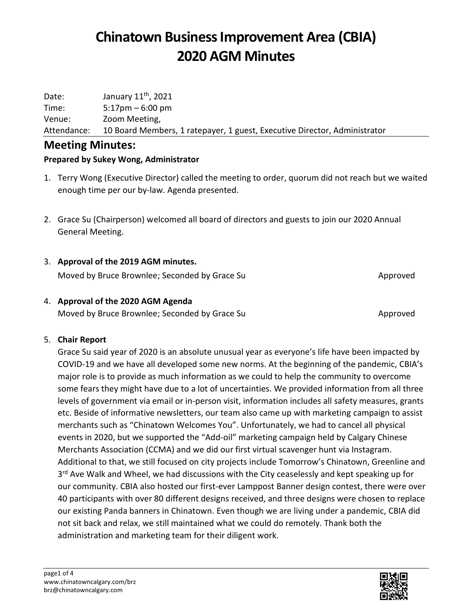Date: January  $11^{th}$ , 2021 Time: 5:17pm – 6:00 pm Venue: Zoom Meeting, Attendance: 10 Board Members, 1 ratepayer, 1 guest, Executive Director, Administrator

### **Meeting Minutes:**

### **Prepared by Sukey Wong, Administrator**

- 1. Terry Wong (Executive Director) called the meeting to order, quorum did not reach but we waited enough time per our by-law. Agenda presented.
- 2. Grace Su (Chairperson) welcomed all board of directors and guests to join our 2020 Annual General Meeting.

### 3. **Approval of the 2019 AGM minutes.**

Moved by Bruce Brownlee; Seconded by Grace Su Approved Approved

## 4. **Approval of the 2020 AGM Agenda**

Moved by Bruce Brownlee; Seconded by Grace Su Approved Approved

#### 5. **Chair Report**

Grace Su said year of 2020 is an absolute unusual year as everyone's life have been impacted by COVID-19 and we have all developed some new norms. At the beginning of the pandemic, CBIA's major role is to provide as much information as we could to help the community to overcome some fears they might have due to a lot of uncertainties. We provided information from all three levels of government via email or in-person visit, information includes all safety measures, grants etc. Beside of informative newsletters, our team also came up with marketing campaign to assist merchants such as "Chinatown Welcomes You". Unfortunately, we had to cancel all physical events in 2020, but we supported the "Add-oil" marketing campaign held by Calgary Chinese Merchants Association (CCMA) and we did our first virtual scavenger hunt via Instagram. Additional to that, we still focused on city projects include Tomorrow's Chinatown, Greenline and 3<sup>rd</sup> Ave Walk and Wheel, we had discussions with the City ceaselessly and kept speaking up for our community. CBIA also hosted our first-ever Lamppost Banner design contest, there were over 40 participants with over 80 different designs received, and three designs were chosen to replace our existing Panda banners in Chinatown. Even though we are living under a pandemic, CBIA did not sit back and relax, we still maintained what we could do remotely. Thank both the administration and marketing team for their diligent work.

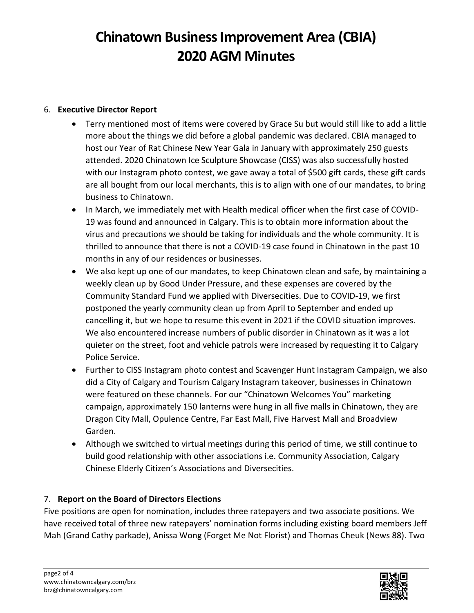#### 6. **Executive Director Report**

- Terry mentioned most of items were covered by Grace Su but would still like to add a little more about the things we did before a global pandemic was declared. CBIA managed to host our Year of Rat Chinese New Year Gala in January with approximately 250 guests attended. 2020 Chinatown Ice Sculpture Showcase (CISS) was also successfully hosted with our Instagram photo contest, we gave away a total of \$500 gift cards, these gift cards are all bought from our local merchants, this is to align with one of our mandates, to bring business to Chinatown.
- In March, we immediately met with Health medical officer when the first case of COVID-19 was found and announced in Calgary. This is to obtain more information about the virus and precautions we should be taking for individuals and the whole community. It is thrilled to announce that there is not a COVID-19 case found in Chinatown in the past 10 months in any of our residences or businesses.
- We also kept up one of our mandates, to keep Chinatown clean and safe, by maintaining a weekly clean up by Good Under Pressure, and these expenses are covered by the Community Standard Fund we applied with Diversecities. Due to COVID-19, we first postponed the yearly community clean up from April to September and ended up cancelling it, but we hope to resume this event in 2021 if the COVID situation improves. We also encountered increase numbers of public disorder in Chinatown as it was a lot quieter on the street, foot and vehicle patrols were increased by requesting it to Calgary Police Service.
- Further to CISS Instagram photo contest and Scavenger Hunt Instagram Campaign, we also did a City of Calgary and Tourism Calgary Instagram takeover, businesses in Chinatown were featured on these channels. For our "Chinatown Welcomes You" marketing campaign, approximately 150 lanterns were hung in all five malls in Chinatown, they are Dragon City Mall, Opulence Centre, Far East Mall, Five Harvest Mall and Broadview Garden.
- Although we switched to virtual meetings during this period of time, we still continue to build good relationship with other associations i.e. Community Association, Calgary Chinese Elderly Citizen's Associations and Diversecities.

#### 7. **Report on the Board of Directors Elections**

Five positions are open for nomination, includes three ratepayers and two associate positions. We have received total of three new ratepayers' nomination forms including existing board members Jeff Mah (Grand Cathy parkade), Anissa Wong (Forget Me Not Florist) and Thomas Cheuk (News 88). Two

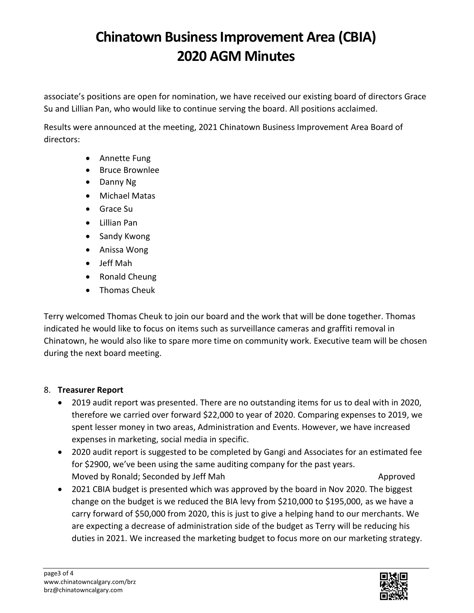associate's positions are open for nomination, we have received our existing board of directors Grace Su and Lillian Pan, who would like to continue serving the board. All positions acclaimed.

Results were announced at the meeting, 2021 Chinatown Business Improvement Area Board of directors:

- Annette Fung
- Bruce Brownlee
- Danny Ng
- Michael Matas
- Grace Su
- Lillian Pan
- Sandy Kwong
- Anissa Wong
- Jeff Mah
- Ronald Cheung
- Thomas Cheuk

Terry welcomed Thomas Cheuk to join our board and the work that will be done together. Thomas indicated he would like to focus on items such as surveillance cameras and graffiti removal in Chinatown, he would also like to spare more time on community work. Executive team will be chosen during the next board meeting.

### 8. **Treasurer Report**

- 2019 audit report was presented. There are no outstanding items for us to deal with in 2020, therefore we carried over forward \$22,000 to year of 2020. Comparing expenses to 2019, we spent lesser money in two areas, Administration and Events. However, we have increased expenses in marketing, social media in specific.
- 2020 audit report is suggested to be completed by Gangi and Associates for an estimated fee for \$2900, we've been using the same auditing company for the past years. Moved by Ronald; Seconded by Jeff Mah Approved
- 2021 CBIA budget is presented which was approved by the board in Nov 2020. The biggest change on the budget is we reduced the BIA levy from \$210,000 to \$195,000, as we have a carry forward of \$50,000 from 2020, this is just to give a helping hand to our merchants. We are expecting a decrease of administration side of the budget as Terry will be reducing his duties in 2021. We increased the marketing budget to focus more on our marketing strategy.